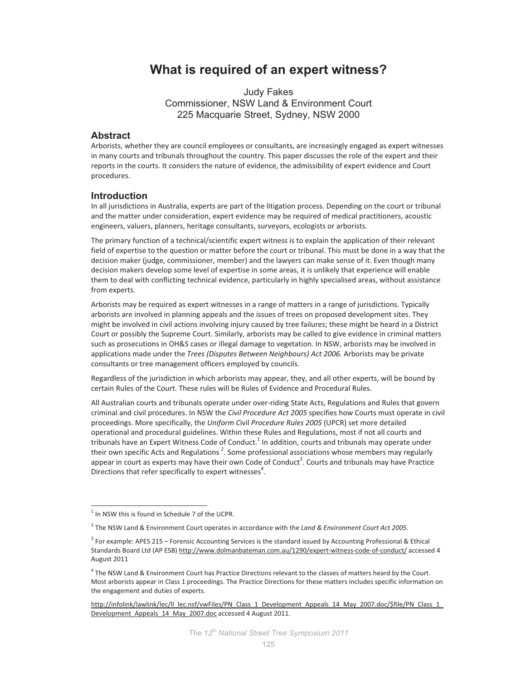# **What is required of an expert witness?**

Judy Fakes Commissioner, NSW Land & Environment Court 225 Macquarie Street, Sydney, NSW 2000

# **Abstract**

Arborists, whether they are council employees or consultants, are increasingly engaged as expert witnesses in many courts and tribunals throughout the country. This paper discusses the role of the expert and their reports in the courts. It considers the nature of evidence, the admissibility of expert evidence and Court procedures.

# **Introduction**

In all jurisdictions in Australia, experts are part of the litigation process. Depending on the court or tribunal and the matter under consideration, expert evidence may be required of medical practitioners, acoustic engineers, valuers, planners, heritage consultants, surveyors, ecologists or arborists.

The primary function of a technical/scientific expert witness is to explain the application of their relevant field of expertise to the question or matter before the court or tribunal. This must be done in a way that the decision maker (judge, commissioner, member) and the lawyers can make sense of it. Even though many decision makers develop some level of expertise in some areas, it is unlikely that experience will enable them to deal with conflicting technical evidence, particularly in highly specialised areas, without assistance from experts.

Arborists may be required as expert witnesses in a range of matters in a range of jurisdictions. Typically arborists are involved in planning appeals and the issues of trees on proposed development sites. They might be involved in civil actions involving injury caused by tree failures; these might be heard in a District Court or possibly the Supreme Court. Similarly, arborists may be called to give evidence in criminal matters such as prosecutions in OH&S cases or illegal damage to vegetation. In NSW, arborists may be involved in applications made under the *Trees (Disputes Between Neighbours) Act 2006.* Arborists may be private consultants or tree management officers employed by councils.

Regardless of the jurisdiction in which arborists may appear, they, and all other experts, will be bound by certain Rules of the Court. These rules will be Rules of Evidence and Procedural Rules.

All Australian courts and tribunals operate under over-riding State Acts, Regulations and Rules that govern criminal and civil procedures. In NSW the *Civil Procedure Act 2005* specifies how Courts must operate in civil proceedings. More specifically, the *Uniform C*ivil *Procedure Rules 2005* (UPCR) set more detailed operational and procedural guidelines. Within these Rules and Regulations, most if not all courts and tribunals have an Expert Witness Code of Conduct.<sup>1</sup> In addition, courts and tribunals may operate under their own specific Acts and Regulations  $^2$ . Some professional associations whose members may regularly appear in court as experts may have their own Code of Conduct<sup>3</sup>. Courts and tribunals may have Practice Directions that refer specifically to expert witnesses<sup>4</sup>.

<sup>1&</sup>lt;br><sup>1</sup> In NSW this is found in Schedule 7 of the UCPR.

<sup>2</sup> The NSW Land & Environment Court operates in accordance with the *Land & Environment Court Act 2005*.

<sup>&</sup>lt;sup>3</sup> For example: APES 215 – Forensic Accounting Services is the standard issued by Accounting Professional & Ethical Standards Board Ltd (AP ESB) http://www.dolmanbateman.com.au/1290/expert-witness-code-of-conduct/ accessed 4 August 2011

<sup>&</sup>lt;sup>4</sup> The NSW Land & Environment Court has Practice Directions relevant to the classes of matters heard by the Court. Most arborists appear in Class 1 proceedings. The Practice Directions for these matters includes specific information on the engagement and duties of experts.

http://infolink/lawlink/lec/ll\_lec.nsf/vwFiles/PN\_Class\_1\_Development\_Appeals\_14\_May\_2007.doc/\$file/PN\_Class\_1\_ Development\_Appeals\_14\_May\_2007.doc accessed 4 August 2011.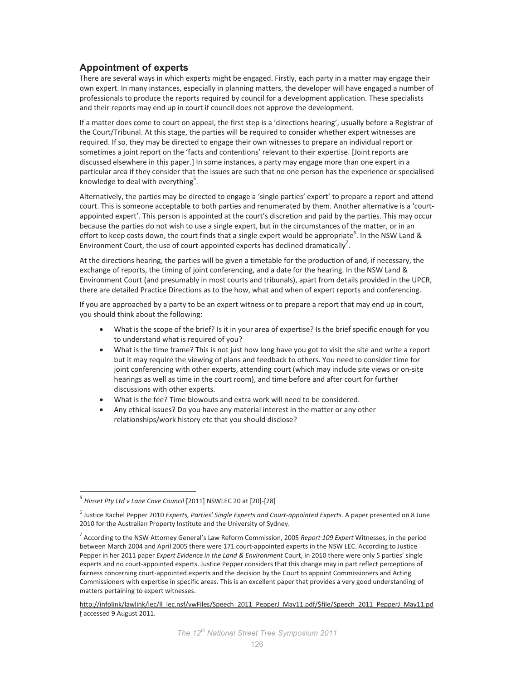# **Appointment of experts**

There are several ways in which experts might be engaged. Firstly, each party in a matter may engage their own expert. In many instances, especially in planning matters, the developer will have engaged a number of professionals to produce the reports required by council for a development application. These specialists and their reports may end up in court if council does not approve the development.

If a matter does come to court on appeal, the first step is a 'directions hearing', usually before a Registrar of the Court/Tribunal. At this stage, the parties will be required to consider whether expert witnesses are required. If so, they may be directed to engage their own witnesses to prepare an individual report or sometimes a joint report on the 'facts and contentions' relevant to their expertise. [Joint reports are discussed elsewhere in this paper.] In some instances, a party may engage more than one expert in a particular area if they consider that the issues are such that no one person has the experience or specialised knowledge to deal with everything<sup>5</sup>.

Alternatively, the parties may be directed to engage a 'single parties' expert' to prepare a report and attend court. This is someone acceptable to both parties and renumerated by them. Another alternative is a 'courtappointed expert'. This person is appointed at the court's discretion and paid by the parties. This may occur because the parties do not wish to use a single expert, but in the circumstances of the matter, or in an effort to keep costs down, the court finds that a single expert would be appropriate<sup>6</sup>. In the NSW Land & Environment Court, the use of court-appointed experts has declined dramatically<sup>7</sup>.

At the directions hearing, the parties will be given a timetable for the production of and, if necessary, the exchange of reports, the timing of joint conferencing, and a date for the hearing. In the NSW Land & Environment Court (and presumably in most courts and tribunals), apart from details provided in the UPCR, there are detailed Practice Directions as to the how, what and when of expert reports and conferencing.

If you are approached by a party to be an expert witness or to prepare a report that may end up in court, you should think about the following:

- What is the scope of the brief? Is it in your area of expertise? Is the brief specific enough for you to understand what is required of you?
- What is the time frame? This is not just how long have you got to visit the site and write a report but it may require the viewing of plans and feedback to others. You need to consider time for joint conferencing with other experts, attending court (which may include site views or on-site hearings as well as time in the court room), and time before and after court for further discussions with other experts.
- What is the fee? Time blowouts and extra work will need to be considered.
- Any ethical issues? Do you have any material interest in the matter or any other relationships/work history etc that you should disclose?

 $\overline{a}$ 

<sup>&</sup>lt;sup>5</sup> Hinset Pty Ltd v Lane Cove Council [2011] NSWLEC 20 at [20]-[28]

<sup>&</sup>lt;sup>6</sup> Justice Rachel Pepper 2010 *Experts, Parties' Single Experts and Court-appointed Experts*. A paper presented on 8 June 2010 for the Australian Property Institute and the University of Sydney.

<sup>7</sup> According to the NSW Attorney General's Law Reform Commission, 2005 *Report 109 Expert* Witnesses, in the period between March 2004 and April 2005 there were 171 court-appointed experts in the NSW LEC. According to Justice Pepper in her 2011 paper *Expert Evidence in the Land & Environment* Court, in 2010 there were only 5 parties' single experts and no court-appointed experts. Justice Pepper considers that this change may in part reflect perceptions of fairness concerning court-appointed experts and the decision by the Court to appoint Commissioners and Acting Commissioners with expertise in specific areas. This is an excellent paper that provides a very good understanding of matters pertaining to expert witnesses.

http://infolink/lawlink/lec/ll\_lec.nsf/vwFiles/Speech\_2011\_PepperJ\_May11.pdf/\$file/Speech\_2011\_PepperJ\_May11.pd f accessed 9 August 2011.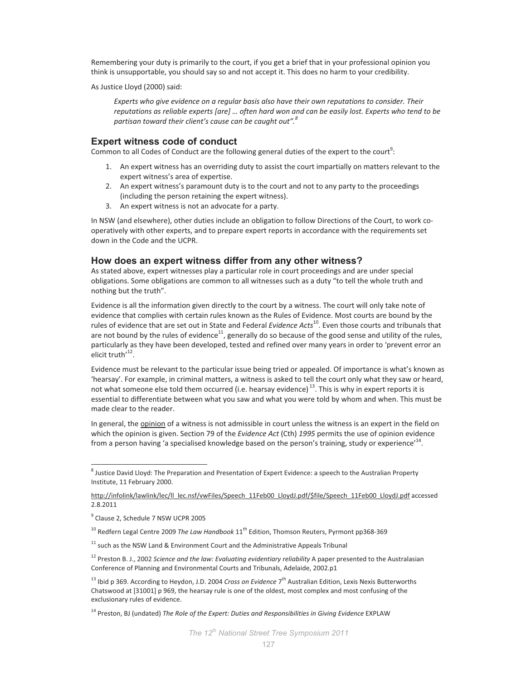Remembering your duty is primarily to the court, if you get a brief that in your professional opinion you think is unsupportable, you should say so and not accept it. This does no harm to your credibility.

As Justice Lloyd (2000) said:

*Experts who give evidence on a regular basis also have their own reputations to consider. Their reputations as reliable experts [are] … often hard won and can be easily lost. Experts who tend to be partisan toward their client's cause can be caught out".<sup>8</sup>* 

# **Expert witness code of conduct**

Common to all Codes of Conduct are the following general duties of the expert to the court<sup>9</sup>:

- 1. An expert witness has an overriding duty to assist the court impartially on matters relevant to the expert witness's area of expertise.
- 2. An expert witness's paramount duty is to the court and not to any party to the proceedings (including the person retaining the expert witness).
- 3. An expert witness is not an advocate for a party.

In NSW (and elsewhere), other duties include an obligation to follow Directions of the Court, to work cooperatively with other experts, and to prepare expert reports in accordance with the requirements set down in the Code and the UCPR.

# **How does an expert witness differ from any other witness?**

As stated above, expert witnesses play a particular role in court proceedings and are under special obligations. Some obligations are common to all witnesses such as a duty "to tell the whole truth and nothing but the truth".

Evidence is all the information given directly to the court by a witness. The court will only take note of evidence that complies with certain rules known as the Rules of Evidence. Most courts are bound by the rules of evidence that are set out in State and Federal *Evidence Acts*<sup>10</sup>. Even those courts and tribunals that are not bound by the rules of evidence<sup>11</sup>, generally do so because of the good sense and utility of the rules, particularly as they have been developed, tested and refined over many years in order to 'prevent error an elicit truth<sup>'12</sup>.

Evidence must be relevant to the particular issue being tried or appealed. Of importance is what's known as 'hearsay'. For example, in criminal matters, a witness is asked to tell the court only what they saw or heard, not what someone else told them occurred (i.e. hearsay evidence)<sup>13</sup>. This is why in expert reports it is essential to differentiate between what you saw and what you were told by whom and when. This must be made clear to the reader.

In general, the opinion of a witness is not admissible in court unless the witness is an expert in the field on which the opinion is given. Section 79 of the *Evidence Act* (Cth) *1995* permits the use of opinion evidence from a person having 'a specialised knowledge based on the person's training, study or experience'<sup>14</sup>.

 $\overline{a}$ 

<sup>&</sup>lt;sup>8</sup> Justice David Lloyd: The Preparation and Presentation of Expert Evidence: a speech to the Australian Property Institute, 11 February 2000.

http://infolink/lawlink/lec/ll\_lec.nsf/vwFiles/Speech\_11Feb00\_LloydJ.pdf/\$file/Speech\_11Feb00\_LloydJ.pdf accessed 2.8.2011

<sup>&</sup>lt;sup>9</sup> Clause 2, Schedule 7 NSW UCPR 2005

<sup>&</sup>lt;sup>10</sup> Redfern Legal Centre 2009 *The Law Handbook* 11<sup>th</sup> Edition, Thomson Reuters, Pyrmont pp368-369

 $11$  such as the NSW Land & Environment Court and the Administrative Appeals Tribunal

<sup>&</sup>lt;sup>12</sup> Preston B. J., 2002 *Science and the law: Evaluating evidentiary reliability* A paper presented to the Australasian Conference of Planning and Environmental Courts and Tribunals, Adelaide, 2002.p1

<sup>&</sup>lt;sup>13</sup> Ibid p 369. According to Heydon, J.D. 2004 *Cross on Evidence* 7<sup>th</sup> Australian Edition, Lexis Nexis Butterworths Chatswood at [31001] p 969, the hearsay rule is one of the oldest, most complex and most confusing of the exclusionary rules of evidence.

<sup>14</sup> Preston, BJ (undated) *The Role of the Expert: Duties and Responsibilities in Giving Evidence* EXPLAW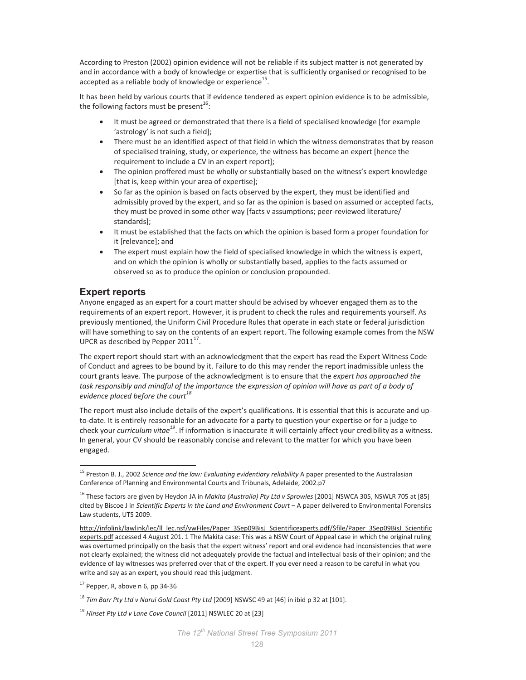According to Preston (2002) opinion evidence will not be reliable if its subject matter is not generated by and in accordance with a body of knowledge or expertise that is sufficiently organised or recognised to be accepted as a reliable body of knowledge or experience $^{15}$ .

It has been held by various courts that if evidence tendered as expert opinion evidence is to be admissible, the following factors must be present<sup>16</sup>:

- It must be agreed or demonstrated that there is a field of specialised knowledge [for example 'astrology' is not such a field];
- There must be an identified aspect of that field in which the witness demonstrates that by reason of specialised training, study, or experience, the witness has become an expert [hence the requirement to include a CV in an expert report];
- The opinion proffered must be wholly or substantially based on the witness's expert knowledge [that is, keep within your area of expertise];
- So far as the opinion is based on facts observed by the expert, they must be identified and admissibly proved by the expert, and so far as the opinion is based on assumed or accepted facts, they must be proved in some other way [facts v assumptions; peer-reviewed literature/ standards];
- It must be established that the facts on which the opinion is based form a proper foundation for it [relevance]; and
- The expert must explain how the field of specialised knowledge in which the witness is expert, and on which the opinion is wholly or substantially based, applies to the facts assumed or observed so as to produce the opinion or conclusion propounded.

# **Expert reports**

 $\overline{a}$ 

Anyone engaged as an expert for a court matter should be advised by whoever engaged them as to the requirements of an expert report. However, it is prudent to check the rules and requirements yourself. As previously mentioned, the Uniform Civil Procedure Rules that operate in each state or federal jurisdiction will have something to say on the contents of an expert report. The following example comes from the NSW UPCR as described by Pepper 2011 $^{17}$ .

The expert report should start with an acknowledgment that the expert has read the Expert Witness Code of Conduct and agrees to be bound by it. Failure to do this may render the report inadmissible unless the court grants leave. The purpose of the acknowledgment is to ensure that the *expert has approached the*  task responsibly and mindful of the importance the expression of opinion will have as part of a body of *evidence placed before the court<sup>18</sup>*

The report must also include details of the expert's qualifications. It is essential that this is accurate and upto-date. It is entirely reasonable for an advocate for a party to question your expertise or for a judge to check your *curriculum vitae<sup>19</sup>*. If information is inaccurate it will certainly affect your credibility as a witness. In general, your CV should be reasonably concise and relevant to the matter for which you have been engaged.

<sup>15</sup> Preston B. J., 2002 *Science and the law: Evaluating evidentiary reliability* A paper presented to the Australasian Conference of Planning and Environmental Courts and Tribunals, Adelaide, 2002.p7

<sup>16</sup> These factors are given by Heydon JA in *Makita (Australia) Pty Ltd v Sprowles* [2001] NSWCA 305, NSWLR 705 at [85] cited by Biscoe J in *Scientific Experts in the Land and Environment Court* – A paper delivered to Environmental Forensics Law students, UTS 2009.

http://infolink/lawlink/lec/ll\_lec.nsf/vwFiles/Paper\_3Sep09BisJ\_Scientificexperts.pdf/\$file/Paper\_3Sep09BisJ\_Scientific experts.pdf accessed 4 August 201. 1 The Makita case: This was a NSW Court of Appeal case in which the original ruling was overturned principally on the basis that the expert witness' report and oral evidence had inconsistencies that were not clearly explained; the witness did not adequately provide the factual and intellectual basis of their opinion; and the evidence of lay witnesses was preferred over that of the expert. If you ever need a reason to be careful in what you write and say as an expert, you should read this judgment.

 $17$  Pepper, R, above n 6, pp 34-36

<sup>&</sup>lt;sup>18</sup> Tim Barr Pty Ltd v Narui Gold Coast Pty Ltd [2009] NSWSC 49 at [46] in ibid p 32 at [101].

<sup>&</sup>lt;sup>19</sup> Hinset Pty Ltd v Lane Cove Council [2011] NSWLEC 20 at [23]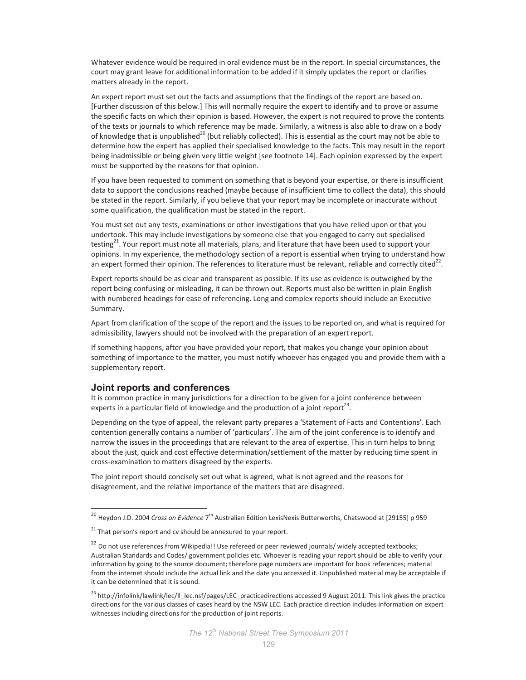Whatever evidence would be required in oral evidence must be in the report. In special circumstances, the court may grant leave for additional information to be added if it simply updates the report or clarifies matters already in the report.

An expert report must set out the facts and assumptions that the findings of the report are based on. [Further discussion of this below.] This will normally require the expert to identify and to prove or assume the specific facts on which their opinion is based. However, the expert is not required to prove the contents of the texts or journals to which reference may be made. Similarly, a witness is also able to draw on a body of knowledge that is unpublished<sup>20</sup> (but reliably collected). This is essential as the court may not be able to determine how the expert has applied their specialised knowledge to the facts. This may result in the report being inadmissible or being given very little weight [see footnote 14]. Each opinion expressed by the expert must be supported by the reasons for that opinion.

If you have been requested to comment on something that is beyond your expertise, or there is insufficient data to support the conclusions reached (maybe because of insufficient time to collect the data), this should be stated in the report. Similarly, if you believe that your report may be incomplete or inaccurate without some qualification, the qualification must be stated in the report.

You must set out any tests, examinations or other investigations that you have relied upon or that you undertook. This may include investigations by someone else that you engaged to carry out specialised testing<sup>21</sup>. Your report must note all materials, plans, and literature that have been used to support your opinions. In my experience, the methodology section of a report is essential when trying to understand how an expert formed their opinion. The references to literature must be relevant, reliable and correctly cited<sup>22</sup>.

Expert reports should be as clear and transparent as possible. If its use as evidence is outweighed by the report being confusing or misleading, it can be thrown out. Reports must also be written in plain English with numbered headings for ease of referencing. Long and complex reports should include an Executive Summary.

Apart from clarification of the scope of the report and the issues to be reported on, and what is required for admissibility, lawyers should not be involved with the preparation of an expert report.

If something happens, after you have provided your report, that makes you change your opinion about something of importance to the matter, you must notify whoever has engaged you and provide them with a supplementary report.

#### **Joint reports and conferences**

 $\overline{a}$ 

It is common practice in many jurisdictions for a direction to be given for a joint conference between experts in a particular field of knowledge and the production of a joint report<sup>23</sup>.

Depending on the type of appeal, the relevant party prepares a 'Statement of Facts and Contentions'. Each contention generally contains a number of 'particulars'. The aim of the joint conference is to identify and narrow the issues in the proceedings that are relevant to the area of expertise. This in turn helps to bring about the just, quick and cost effective determination/settlement of the matter by reducing time spent in cross-examination to matters disagreed by the experts.

The joint report should concisely set out what is agreed, what is not agreed and the reasons for disagreement, and the relative importance of the matters that are disagreed.

<sup>&</sup>lt;sup>20</sup> Heydon J.D. 2004 *Cross on Evidence* 7<sup>th</sup> Australian Edition LexisNexis Butterworths, Chatswood at [29155] p 959

 $21$  That person's report and cv should be annexured to your report.

<sup>&</sup>lt;sup>22</sup> Do not use references from Wikipedia!! Use refereed or peer reviewed journals/ widely accepted textbooks; Australian Standards and Codes/ government policies etc. Whoever is reading your report should be able to verify your information by going to the source document; therefore page numbers are important for book references; material from the internet should include the actual link and the date you accessed it. Unpublished material may be acceptable if it can be determined that it is sound.

<sup>&</sup>lt;sup>23</sup> http://infolink/lawlink/lec/ll\_lec.nsf/pages/LEC\_practicedirections accessed 9 August 2011. This link gives the practice directions for the various classes of cases heard by the NSW LEC. Each practice direction includes information on expert witnesses including directions for the production of joint reports.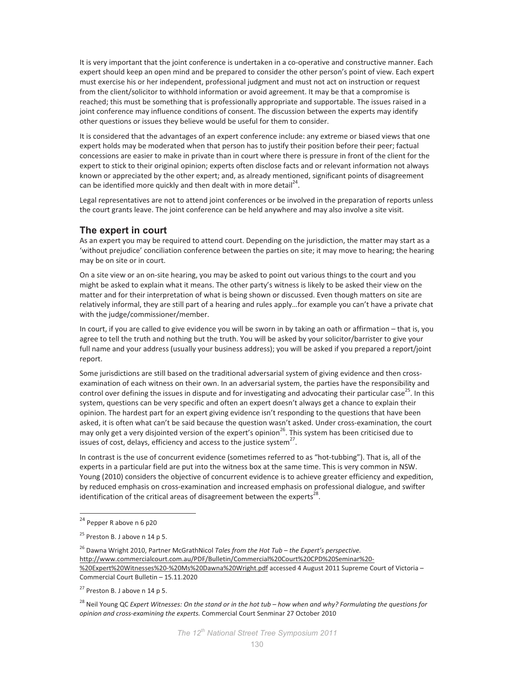It is very important that the joint conference is undertaken in a co-operative and constructive manner. Each expert should keep an open mind and be prepared to consider the other person's point of view. Each expert must exercise his or her independent, professional judgment and must not act on instruction or request from the client/solicitor to withhold information or avoid agreement. It may be that a compromise is reached; this must be something that is professionally appropriate and supportable. The issues raised in a joint conference may influence conditions of consent. The discussion between the experts may identify other questions or issues they believe would be useful for them to consider.

It is considered that the advantages of an expert conference include: any extreme or biased views that one expert holds may be moderated when that person has to justify their position before their peer; factual concessions are easier to make in private than in court where there is pressure in front of the client for the expert to stick to their original opinion; experts often disclose facts and or relevant information not always known or appreciated by the other expert; and, as already mentioned, significant points of disagreement can be identified more quickly and then dealt with in more detail<sup>24</sup>.

Legal representatives are not to attend joint conferences or be involved in the preparation of reports unless the court grants leave. The joint conference can be held anywhere and may also involve a site visit.

### **The expert in court**

As an expert you may be required to attend court. Depending on the jurisdiction, the matter may start as a 'without prejudice' conciliation conference between the parties on site; it may move to hearing; the hearing may be on site or in court.

On a site view or an on-site hearing, you may be asked to point out various things to the court and you might be asked to explain what it means. The other party's witness is likely to be asked their view on the matter and for their interpretation of what is being shown or discussed. Even though matters on site are relatively informal, they are still part of a hearing and rules apply…for example you can't have a private chat with the judge/commissioner/member.

In court, if you are called to give evidence you will be sworn in by taking an oath or affirmation – that is, you agree to tell the truth and nothing but the truth. You will be asked by your solicitor/barrister to give your full name and your address (usually your business address); you will be asked if you prepared a report/joint report.

Some jurisdictions are still based on the traditional adversarial system of giving evidence and then crossexamination of each witness on their own. In an adversarial system, the parties have the responsibility and control over defining the issues in dispute and for investigating and advocating their particular case<sup>25</sup>. In this system, questions can be very specific and often an expert doesn't always get a chance to explain their opinion. The hardest part for an expert giving evidence isn't responding to the questions that have been asked, it is often what can't be said because the question wasn't asked. Under cross-examination, the court may only get a very disjointed version of the expert's opinion<sup>26</sup>. This system has been criticised due to issues of cost, delays, efficiency and access to the justice system $^{27}$ .

In contrast is the use of concurrent evidence (sometimes referred to as "hot-tubbing"). That is, all of the experts in a particular field are put into the witness box at the same time. This is very common in NSW. Young (2010) considers the objective of concurrent evidence is to achieve greater efficiency and expedition, by reduced emphasis on cross-examination and increased emphasis on professional dialogue, and swifter identification of the critical areas of disagreement between the experts<sup>28</sup>.

 $\overline{a}$ 

<sup>28</sup> Neil Young QC *Expert Witnesses: On the stand or in the hot tub – how when and why? Formulating the questions for opinion and cross\*examining the experts.* Commercial Court Senminar 27 October 2010

<sup>&</sup>lt;sup>24</sup> Pepper R above n 6 p20

 $25$  Preston B. J above n 14 p 5.

<sup>26</sup> Dawna Wright 2010, Partner McGrathNicol *Tales from the Hot Tub – the Expert's perspective.* http://www.commercialcourt.com.au/PDF/Bulletin/Commercial%20Court%20CPD%20Seminar%20-%20Expert%20Witnesses%20-%20Ms%20Dawna%20Wright.pdf accessed 4 August 2011 Supreme Court of Victoria -Commercial Court Bulletin – 15.11.2020

 $27$  Preston B. J above n 14 p 5.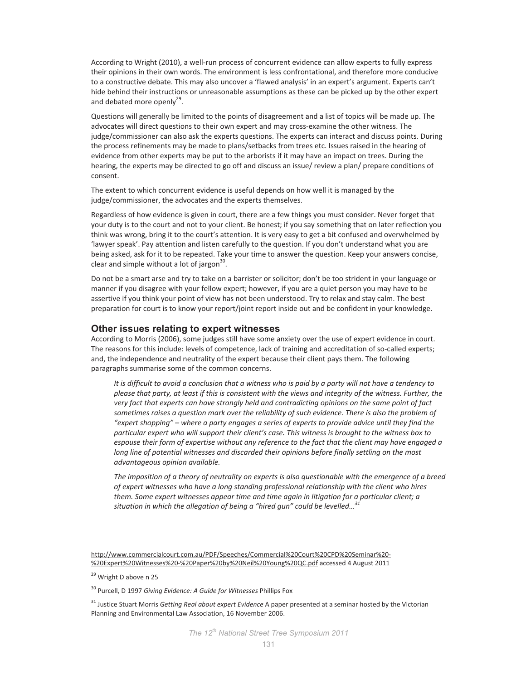According to Wright (2010), a well-run process of concurrent evidence can allow experts to fully express their opinions in their own words. The environment is less confrontational, and therefore more conducive to a constructive debate. This may also uncover a 'flawed analysis' in an expert's argument. Experts can't hide behind their instructions or unreasonable assumptions as these can be picked up by the other expert and debated more openly<sup>29</sup>.

Questions will generally be limited to the points of disagreement and a list of topics will be made up. The advocates will direct questions to their own expert and may cross-examine the other witness. The judge/commissioner can also ask the experts questions. The experts can interact and discuss points. During the process refinements may be made to plans/setbacks from trees etc. Issues raised in the hearing of evidence from other experts may be put to the arborists if it may have an impact on trees. During the hearing, the experts may be directed to go off and discuss an issue/ review a plan/ prepare conditions of consent.

The extent to which concurrent evidence is useful depends on how well it is managed by the judge/commissioner, the advocates and the experts themselves.

Regardless of how evidence is given in court, there are a few things you must consider. Never forget that your duty is to the court and not to your client. Be honest; if you say something that on later reflection you think was wrong, bring it to the court's attention. It is very easy to get a bit confused and overwhelmed by 'lawyer speak'. Pay attention and listen carefully to the question. If you don't understand what you are being asked, ask for it to be repeated. Take your time to answer the question. Keep your answers concise, clear and simple without a lot of jargon $^{30}$ .

Do not be a smart arse and try to take on a barrister or solicitor; don't be too strident in your language or manner if you disagree with your fellow expert; however, if you are a quiet person you may have to be assertive if you think your point of view has not been understood. Try to relax and stay calm. The best preparation for court is to know your report/joint report inside out and be confident in your knowledge.

# **Other issues relating to expert witnesses**

According to Morris (2006), some judges still have some anxiety over the use of expert evidence in court. The reasons for this include: levels of competence, lack of training and accreditation of so-called experts; and, the independence and neutrality of the expert because their client pays them. The following paragraphs summarise some of the common concerns.

*It is difficult to avoid a conclusion that a witness who is paid by a party will not have a tendency to please that party, at least if this is consistent with the views and integrity of the witness. Further, the very fact that experts can have strongly held and contradicting opinions on the same point of fact*  sometimes raises a question mark over the reliability of such evidence. There is also the problem of *"expert shopping" – where a party engages a series of experts to provide advice until they find the particular expert who will support their client's case. This witness is brought to the witness box to espouse their form of expertise without any reference to the fact that the client may have engaged a*  long line of potential witnesses and discarded their opinions before finally settling on the most *advantageous opinion available.* 

*The imposition of a theory of neutrality on experts is also questionable with the emergence of a breed of expert witnesses who have a long standing professional relationship with the client who hires them. Some expert witnesses appear time and time again in litigation for a particular client; a situation in which the allegation of being a "hired gun" could be levelled…<sup>31</sup>*

.

http://www.commercialcourt.com.au/PDF/Speeches/Commercial%20Court%20CPD%20Seminar%20-%20Expert%20Witnesses%20-%20Paper%20by%20Neil%20Young%20QC.pdf accessed 4 August 2011

<sup>&</sup>lt;sup>29</sup> Wright D above n 25

<sup>30</sup> Purcell, D 1997 *Giving Evidence: A Guide for Witnesses* Phillips Fox

<sup>31</sup> Justice Stuart Morris *Getting Real about expert Evidence* A paper presented at a seminar hosted by the Victorian Planning and Environmental Law Association, 16 November 2006.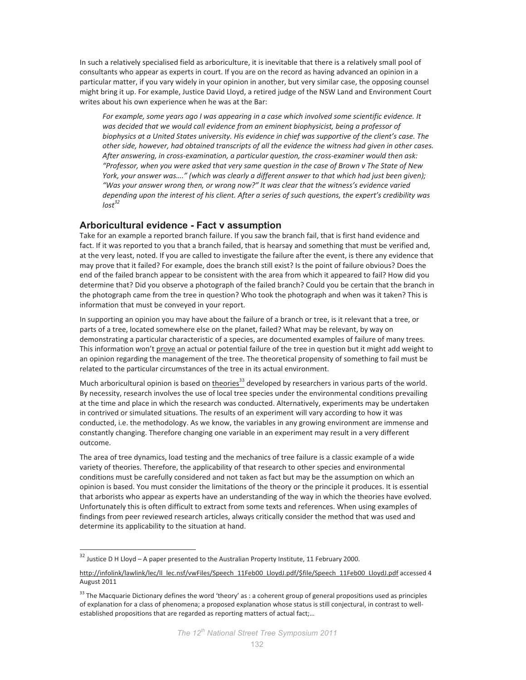In such a relatively specialised field as arboriculture, it is inevitable that there is a relatively small pool of consultants who appear as experts in court. If you are on the record as having advanced an opinion in a particular matter, if you vary widely in your opinion in another, but very similar case, the opposing counsel might bring it up. For example, Justice David Lloyd, a retired judge of the NSW Land and Environment Court writes about his own experience when he was at the Bar:

*For example, some years ago I was appearing in a case which involved some scientific evidence. It was decided that we would call evidence from an eminent biophysicist, being a professor of biophysics at a United States university. His evidence in chief was supportive of the client's case. The other side, however, had obtained transcripts of all the evidence the witness had given in other cases.*  After answering, in cross-examination, a particular question, the cross-examiner would then ask: *"Professor, when you were asked that very same question in the case of Brown v The State of New York, your answer was…." (which was clearly a different answer to that which had just been given); "Was your answer wrong then, or wrong now?" It was clear that the witness's evidence varied depending upon the interest of his client. After a series of such questions, the expert's credibility was lost<sup>32</sup>*

#### **Arboricultural evidence - Fact v assumption**

Take for an example a reported branch failure. If you saw the branch fail, that is first hand evidence and fact. If it was reported to you that a branch failed, that is hearsay and something that must be verified and, at the very least, noted. If you are called to investigate the failure after the event, is there any evidence that may prove that it failed? For example, does the branch still exist? Is the point of failure obvious? Does the end of the failed branch appear to be consistent with the area from which it appeared to fail? How did you determine that? Did you observe a photograph of the failed branch? Could you be certain that the branch in the photograph came from the tree in question? Who took the photograph and when was it taken? This is information that must be conveyed in your report.

In supporting an opinion you may have about the failure of a branch or tree, is it relevant that a tree, or parts of a tree, located somewhere else on the planet, failed? What may be relevant, by way on demonstrating a particular characteristic of a species, are documented examples of failure of many trees. This information won't prove an actual or potential failure of the tree in question but it might add weight to an opinion regarding the management of the tree. The theoretical propensity of something to fail must be related to the particular circumstances of the tree in its actual environment.

Much arboricultural opinion is based on  $\underline{theories}^{33}$  developed by researchers in various parts of the world. By necessity, research involves the use of local tree species under the environmental conditions prevailing at the time and place in which the research was conducted. Alternatively, experiments may be undertaken in contrived or simulated situations. The results of an experiment will vary according to how it was conducted, i.e. the methodology. As we know, the variables in any growing environment are immense and constantly changing. Therefore changing one variable in an experiment may result in a very different outcome.

The area of tree dynamics, load testing and the mechanics of tree failure is a classic example of a wide variety of theories. Therefore, the applicability of that research to other species and environmental conditions must be carefully considered and not taken as fact but may be the assumption on which an opinion is based. You must consider the limitations of the theory or the principle it produces. It is essential that arborists who appear as experts have an understanding of the way in which the theories have evolved. Unfortunately this is often difficult to extract from some texts and references. When using examples of findings from peer reviewed research articles, always critically consider the method that was used and determine its applicability to the situation at hand.

 $\overline{a}$ 

 $32$  Justice D H Lloyd – A paper presented to the Australian Property Institute, 11 February 2000.

http://infolink/lawlink/lec/ll\_lec.nsf/vwFiles/Speech\_11Feb00\_LloydJ.pdf/\$file/Speech\_11Feb00\_LloydJ.pdf accessed 4 August 2011

<sup>&</sup>lt;sup>33</sup> The Macquarie Dictionary defines the word 'theory' as : a coherent group of general propositions used as principles of explanation for a class of phenomena; a proposed explanation whose status is still conjectural, in contrast to wellestablished propositions that are regarded as reporting matters of actual fact;…